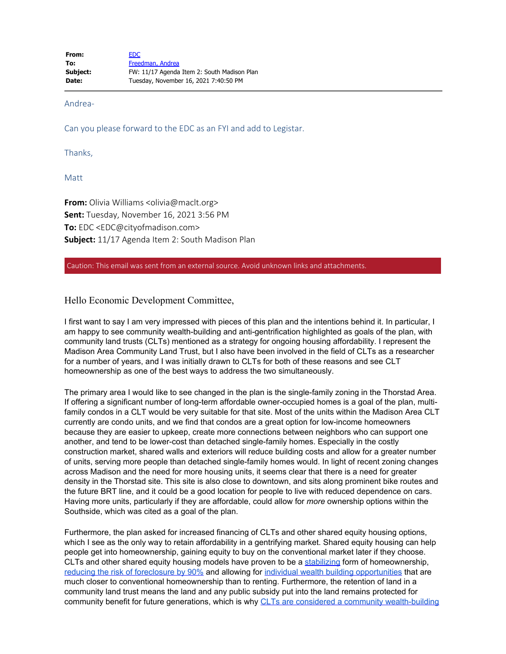Andrea-

Can you please forward to the EDC as an FYI and add to Legistar.

Thanks,

Matt

**From:** Olivia Williams <olivia@maclt.org> **Sent:** Tuesday, November 16, 2021 3:56 PM **To:** EDC <EDC@cityofmadison.com> **Subject:** 11/17 Agenda Item 2: South Madison Plan

Caution: This email was sent from an external source. Avoid unknown links and attachments.

Hello Economic Development Committee,

I first want to say I am very impressed with pieces of this plan and the intentions behind it. In particular, I am happy to see community wealth-building and anti-gentrification highlighted as goals of the plan, with community land trusts (CLTs) mentioned as a strategy for ongoing housing affordability. I represent the Madison Area Community Land Trust, but I also have been involved in the field of CLTs as a researcher for a number of years, and I was initially drawn to CLTs for both of these reasons and see CLT homeownership as one of the best ways to address the two simultaneously.

The primary area I would like to see changed in the plan is the single-family zoning in the Thorstad Area. If offering a significant number of long-term affordable owner-occupied homes is a goal of the plan, multifamily condos in a CLT would be very suitable for that site. Most of the units within the Madison Area CLT currently are condo units, and we find that condos are a great option for low-income homeowners because they are easier to upkeep, create more connections between neighbors who can support one another, and tend to be lower-cost than detached single-family homes. Especially in the costly construction market, shared walls and exteriors will reduce building costs and allow for a greater number of units, serving more people than detached single-family homes would. In light of recent zoning changes across Madison and the need for more housing units, it seems clear that there is a need for greater density in the Thorstad site. This site is also close to downtown, and sits along prominent bike routes and the future BRT line, and it could be a good location for people to live with reduced dependence on cars. Having more units, particularly if they are affordable, could allow for *more* ownership options within the Southside, which was cited as a goal of the plan.

Furthermore, the plan asked for increased financing of CLTs and other shared equity housing options, which I see as the only way to retain affordability in a gentrifying market. Shared equity housing can help people get into homeownership, gaining equity to buy on the conventional market later if they choose. CLTs and other shared equity housing models have proven to be a [stabilizing](https://urldefense.proofpoint.com/v2/url?u=https-3A__www.lincolninst.edu_publications_working-2Dpapers_tracking-2Dgrowth-2Devaluating-2Dperformance-2Dshared-2Dequity-2Dhomeownership&d=DwMFaQ&c=byefhD2ZumMFFQYPZBagUCDuBiM9Q9twmxaBM0hCgII&r=uvkFO3f5BFHMJOh2etCtxlkRPDo8zsufRTO9jNMlgc8&m=i0cKzAreTARGwu-QFniGztFHkzMZme9YGJURfHll6vw&s=Lakz6nYpEHfED5MV0nwkvKZUu8ugnD7cKrifhpiJT80&e=) form of homeownership, [reducing the risk of foreclosure by 90%](https://urldefense.proofpoint.com/v2/url?u=https-3A__www.lincolninst.edu_publications_working-2Dpapers_outperforming-2Dmarket&d=DwMFaQ&c=byefhD2ZumMFFQYPZBagUCDuBiM9Q9twmxaBM0hCgII&r=uvkFO3f5BFHMJOh2etCtxlkRPDo8zsufRTO9jNMlgc8&m=i0cKzAreTARGwu-QFniGztFHkzMZme9YGJURfHll6vw&s=uSKTbb813-VF7WeoqiCuLOF4ajpPkaFLQIpaAjrY3pM&e=) and allowing for [individual wealth building opportunities](https://urldefense.proofpoint.com/v2/url?u=https-3A__www.tandfonline.com_doi_abs_10.1080_10511482.2021.1949372-3FjournalCode-3Drhpd20&d=DwMFaQ&c=byefhD2ZumMFFQYPZBagUCDuBiM9Q9twmxaBM0hCgII&r=uvkFO3f5BFHMJOh2etCtxlkRPDo8zsufRTO9jNMlgc8&m=i0cKzAreTARGwu-QFniGztFHkzMZme9YGJURfHll6vw&s=WFJ4Q3ixtt-toS4C5qyd0ffFCfF4m_xAgW0uwtt1V9Y&e=) that are much closer to conventional homeownership than to renting. Furthermore, the retention of land in a community land trust means the land and any public subsidy put into the land remains protected for community benefit for future generations, which is why [CLTs are considered a community wealth-building](https://urldefense.proofpoint.com/v2/url?u=https-3A__community-2Dwealth.org_strategies_panel_clts_index.html&d=DwMFaQ&c=byefhD2ZumMFFQYPZBagUCDuBiM9Q9twmxaBM0hCgII&r=uvkFO3f5BFHMJOh2etCtxlkRPDo8zsufRTO9jNMlgc8&m=i0cKzAreTARGwu-QFniGztFHkzMZme9YGJURfHll6vw&s=6uf0I5_JZUfAv1L2jfPjTAYs4_vVENhDDoyko0g0zs8&e=)